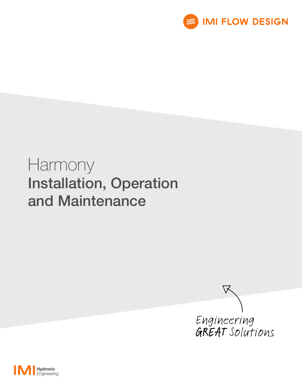

# Harmony Installation, Operation and Maintenance



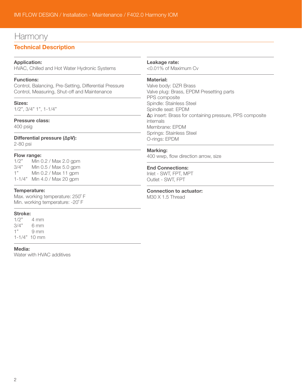## Harmony

### Technical Description

#### Application:

HVAC, Chilled and Hot Water Hydronic Systems

#### Functions:

Control, Balancing, Pre-Setting, Differential Pressure Control, Measuring, Shut-off and Maintenance

#### Sizes:

1/2", 3/4" 1", 1-1/4"

#### Pressure class:

400 psig

#### Differential pressure (∆pV): 2-80 psi

#### Flow range:

1/2" Min 0.2 / Max 2.0 gpm 3/4" Min 0.5 / Max 5.0 gpm 1" Min 0.2 / Max 11 gpm 1-1/4" Min 4.0 / Max 20 gpm

#### Temperature:

Max. working temperature: 250˚ F Min. working temperature: -20˚ F

#### Stroke:

 $1/2"$  4 mm 3/4" 6 mm 1" 9 mm 1-1/4" 10 mm

#### Media:

Water with HVAC additives

#### Leakage rate:

<0.01% of Maximum Cv

#### Material:

Valve body: DZR Brass Valve plug: Brass, EPDM Presetting parts PPS composite Spindle: Stainless Steel Spindle seat: EPDM ∆p insert: Brass for containing pressure, PPS composite internals Membrane: EPDM Springs: Stainless Steel O-rings: EPDM

#### Marking:

400 wwp, flow direction arrow, size

#### End Connections:

Inlet - SWT, FPT, MPT Outlet - SWT, FPT

#### Connection to actuator:

M30 X 1.5 Thread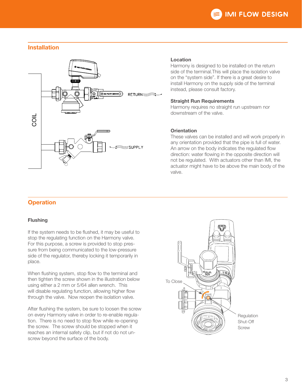

#### Installation



#### Location

Harmony is designed to be installed on the return side of the terminal.This will place the isolation valve on the "system side". If there is a great desire to install Harmony on the supply side of the terminal instead, please consult factory.

#### Straight Run Requirements

Harmony requires no straight run upstream nor downstream of the valve.

#### **Orientation**

These valves can be installed and will work properly in any orientation provided that the pipe is full of water. An arrow on the body indicates the regulated flow direction: water flowing in the opposite direction will not be regulated. With actuators other than IMI, the actuator might have to be above the main body of the valve.

#### **Flushing**

If the system needs to be flushed, it may be useful to stop the regulating function on the Harmony valve. For this purpose, a screw is provided to stop pressure from being communicated to the low-pressure side of the regulator, thereby locking it temporarily in place.

When flushing system, stop flow to the terminal and then tighten the screw shown in the illustration below using either a 2 mm or 5/64 allen wrench. This will disable regulating function, allowing higher flow through the valve. Now reopen the isolation valve.

After flushing the system, be sure to loosen the screw on every Harmony valve in order to re-enable regulation. There is no need to stop flow while re-opening the screw. The screw should be stopped when it reaches an internal safety clip, but if not do not unscrew beyond the surface of the body.

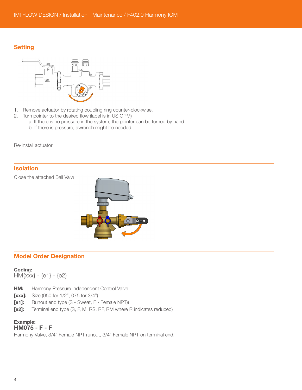#### **Setting**



- 1. Remove actuator by rotating coupling ring counter-clockwise.
- 2. Turn pointer to the desired flow (label is in US GPM)
	- a. If there is no pressure in the system, the pointer can be turned by hand.
	- b. If there is pressure, awrench might be needed.

Re-Install actuator

#### **Isolation**

Close the attached Ball Valve



#### Model Order Designation

#### Coding:

HM{xxx} - {e1} - {e2}

- **HM:** Harmony Pressure Independent Control Valve
- **[xxx]:** Size (050 for 1/2", 075 for 3/4")
- [e1]: Runout end type (S Sweat, F Female NPT))
- [e2]: Terminal end type (S, F, M, RS, RF, RM where R indicates reduced)

#### Example: HM075 - F - F

Harmony Valve, 3/4" Female NPT runout, 3/4" Female NPT on terminal end.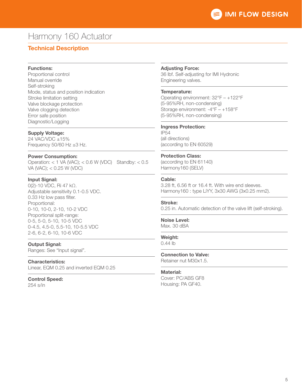## Harmony 160 Actuator

### Technical Description

#### Functions:

Proportional control Manual override Self-stroking Mode, status and position indication Stroke limitation setting Valve blockage protection Valve clogging detection Error safe position Diagnostic/Logging

#### Supply Voltage:

24 VAC/VDC ±15% Frequency  $50/60$  Hz  $\pm 3$  Hz.

#### Power Consumption:

Operation:  $<$  1 VA (VAC);  $<$  0.6 W (VDC) Standby:  $<$  0.5 VA (VAC); < 0.25 W (VDC)

#### Input Signal:

0(2)-10 VDC, Ri 47 kΩ. Adjustable sensitivity 0.1-0.5 VDC. 0.33 Hz low pass filter. Proportional: 0-10, 10-0, 2-10, 10-2 VDC Proportional split-range: 0-5, 5-0, 5-10, 10-5 VDC 0-4.5, 4.5-0, 5.5-10, 10-5.5 VDC 2-6, 6-2, 6-10, 10-6 VDC

#### Output Signal:

Ranges: See "Input signal".

#### Characteristics:

Linear, EQM 0.25 and inverted EQM 0.25

#### Control Speed:

254 s/in

#### Adjusting Force:

36 lbf. Self-adjusting for IMI Hydronic Engineering valves.

#### Temperature:

Operating environment: 32°F – +122°F (5-95%RH, non-condensing) Storage environment: -4°F – +158°F (5-95%RH, non-condensing)

#### Ingress Protection:

IP54 (all directions) (according to EN 60529)

#### Protection Class:

(according to EN 61140) Harmony160 (SELV)

#### Cable:

3.28 ft, 6.56 ft or 16.4 ft. With wire end sleeves. Harmony160 : type LiYY, 3x30 AWG (3x0.25 mm2).

#### Stroke:

0.25 in. Automatic detection of the valve lift (self-stroking).

### Noise Level:

Max. 30 dBA

#### Weight:

0.44 lb

#### Connection to Valve:

Retainer nut M30x1.5.

#### Material:

Cover: PC/ABS GF8 Housing: PA GF40.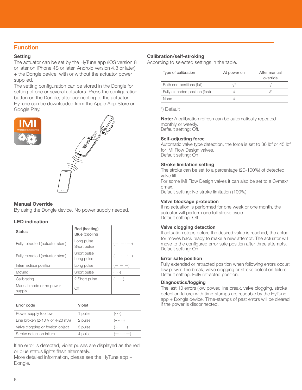#### Function

#### **Setting**

The actuator can be set by the HyTune app (iOS version 8 or later on iPhone 4S or later, Android version 4.3 or later) + the Dongle device, with or without the actuator power supplied.

The setting configuration can be stored in the Dongle for setting of one or several actuators. Press the configuration button on the Dongle, after connecting to the actuator. HyTune can be downloaded from the Apple App Store or Google Play.





#### Manual Override

By using the Dongle device. No power supply needed.

#### LED indication

| <b>Status</b>                     | Red (heating)<br>Blue (cooling |                             |
|-----------------------------------|--------------------------------|-----------------------------|
| Fully retracted (actuator stem)   | Long pulse<br>Short pulse      | $(- \cdot - \cdot - \cdot)$ |
| Fully retracted (actuator stem)   | Short pulse<br>Long pulse      | $(\cdot - \cdot - \cdot -)$ |
| Intermediate position             | Long pulse                     | $- - -$                     |
| Moving                            | Short pulse                    | $(\cdot \cdot \cdot)$       |
| Calibrating                       | 2 Short pulse                  | $( \cdots \cdots )$         |
| Manual mode or no power<br>supply | Οff                            |                             |

| Error code                                         | Violet  |                       |
|----------------------------------------------------|---------|-----------------------|
| Power supply too low                               | 1 pulse | $(\cdot \cdot \cdot)$ |
| Line broken $(2-10 \text{ V or } 4-20 \text{ mA})$ | 2 pulse | $( \cdots \cdots )$   |
| Valve clogging or foreign object                   | 3 pulse | (  )                  |
| Stroke detection failure                           | 4 pulse | (  )                  |

If an error is detected, violet pulses are displayed as the red or blue status lights flash alternately.

More detailed information, please see the HyTune app + Dongle.

#### Calibration/self-stroking

According to selected settings in the table.

| Type of calibration            | At power on | After manual<br>override |  |
|--------------------------------|-------------|--------------------------|--|
| Both end positions (full)      |             |                          |  |
| Fully extended position (fast) |             |                          |  |
| None                           |             |                          |  |

\*) Default

Note: A calibration refresh can be automatically repeated monthly or weekly. Default setting: Off.

#### Self-adjusting force

Automatic valve type detection, the force is set to 36 lbf or 45 lbf for IMI Flow Design valves. Default setting: On.

#### Stroke limitation setting

The stroke can be set to a percentage (20-100%) of detected valve lift.

For some IMI Flow Design valves it can also be set to a Cvmax/ qmax.

Default setting: No stroke limitation (100%).

#### Valve blockage protection

If no actuation is performed for one week or one month, the actuator will perform one full stroke cycle. Default setting: Off.

#### Valve clogging detection

If actuation stops before the desired value is reached, the actuator moves back ready to make a new attempt. The actuator will move to the configured error safe position after three attempts. Default setting: On.

#### Error safe position

Fully extended or retracted position when following errors occur; low power, line break, valve clogging or stroke detection failure. Default setting: Fully retracted position.

#### Diagnostics/logging

The last 10 errors (low power, line break, valve clogging, stroke detection failure) with time-stamps are readable by the HyTune app + Dongle device. Time-stamps of past errors will be cleared if the power is disconnected.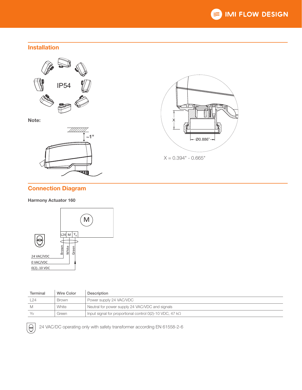

#### Installation



Note:





 $X = 0.394" - 0.665"$ 

### Connection Diagram

#### Harmony Actuator 160



| Terminal | Wire Color | Description                                                         |
|----------|------------|---------------------------------------------------------------------|
| 24       | Brown      | Power supply 24 VAC/VDC                                             |
|          | White      | Neutral for power supply 24 VAC/VDC and signals                     |
| V٧       | Green      | Input signal for proportional control $O(2)$ -10 VDC, 47 k $\Omega$ |



 $\bigotimes$  24 VAC/DC operating only with safety transformer according EN 61558-2-6